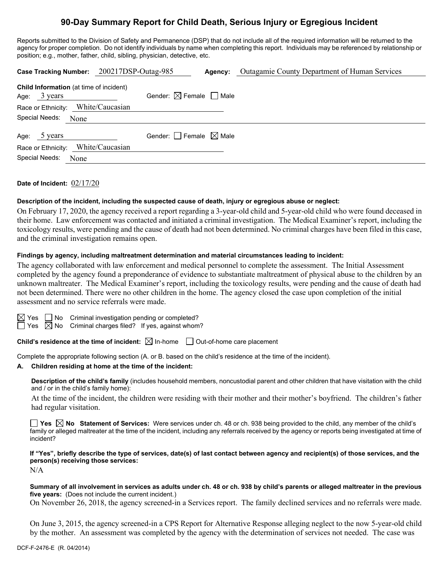# **90-Day Summary Report for Child Death, Serious Injury or Egregious Incident**

Reports submitted to the Division of Safety and Permanence (DSP) that do not include all of the required information will be returned to the agency for proper completion. Do not identify individuals by name when completing this report. Individuals may be referenced by relationship or position; e.g., mother, father, child, sibling, physician, detective, etc.

|                                                                          | Case Tracking Number: 200217DSP-Outag-985 | Agency: | <b>Outagamie County Department of Human Services</b> |
|--------------------------------------------------------------------------|-------------------------------------------|---------|------------------------------------------------------|
| <b>Child Information</b> (at time of incident)<br>Age: $3 \text{ years}$ | Gender: $\boxtimes$ Female $\Box$ Male    |         |                                                      |
| Race or Ethnicity: White/Caucasian                                       |                                           |         |                                                      |
| Special Needs:<br>None                                                   |                                           |         |                                                      |
| Age: 5 years                                                             | Gender: Female $\boxtimes$ Male           |         |                                                      |
| Race or Ethnicity: White/Caucasian                                       |                                           |         |                                                      |
| Special Needs:<br>None                                                   |                                           |         |                                                      |

### **Date of Incident:** 02/17/20

#### **Description of the incident, including the suspected cause of death, injury or egregious abuse or neglect:**

On February 17, 2020, the agency received a report regarding a 3-year-old child and 5-year-old child who were found deceased in their home. Law enforcement was contacted and initiated a criminal investigation. The Medical Examiner's report, including the toxicology results, were pending and the cause of death had not been determined. No criminal charges have been filed in this case, and the criminal investigation remains open.

#### **Findings by agency, including maltreatment determination and material circumstances leading to incident:**

The agency collaborated with law enforcement and medical personnel to complete the assessment. The Initial Assessment completed by the agency found a preponderance of evidence to substantiate maltreatment of physical abuse to the children by an unknown maltreater. The Medical Examiner's report, including the toxicology results, were pending and the cause of death had not been determined. There were no other children in the home. The agency closed the case upon completion of the initial assessment and no service referrals were made.



 $\boxtimes$  Yes  $\Box$  No Criminal investigation pending or completed?

 $\Box$  Yes  $\boxtimes$  No Criminal charges filed? If yes, against whom?

**Child's residence at the time of incident:**  $\boxtimes$  In-home  $\Box$  Out-of-home care placement

Complete the appropriate following section (A. or B. based on the child's residence at the time of the incident).

#### **A. Children residing at home at the time of the incident:**

**Description of the child's family** (includes household members, noncustodial parent and other children that have visitation with the child and / or in the child's family home):

At the time of the incident, the children were residing with their mother and their mother's boyfriend. The children's father had regular visitation.

■ Yes △ No Statement of Services: Were services under ch. 48 or ch. 938 being provided to the child, any member of the child's family or alleged maltreater at the time of the incident, including any referrals received by the agency or reports being investigated at time of incident?

**If "Yes", briefly describe the type of services, date(s) of last contact between agency and recipient(s) of those services, and the person(s) receiving those services:**

N/A

**Summary of all involvement in services as adults under ch. 48 or ch. 938 by child's parents or alleged maltreater in the previous five years:** (Does not include the current incident.)

On November 26, 2018, the agency screened-in a Services report. The family declined services and no referrals were made.

On June 3, 2015, the agency screened-in a CPS Report for Alternative Response alleging neglect to the now 5-year-old child by the mother. An assessment was completed by the agency with the determination of services not needed. The case was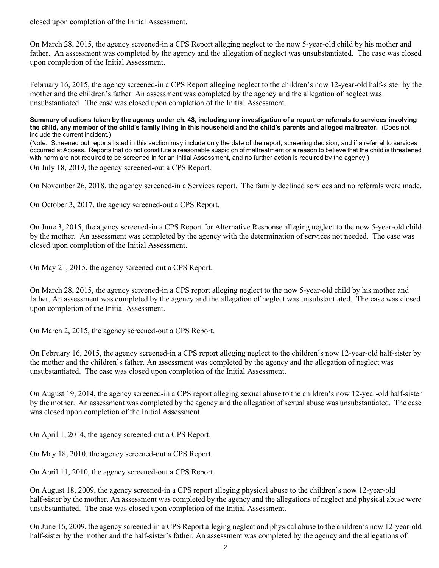closed upon completion of the Initial Assessment.

On March 28, 2015, the agency screened-in a CPS Report alleging neglect to the now 5-year-old child by his mother and father. An assessment was completed by the agency and the allegation of neglect was unsubstantiated. The case was closed upon completion of the Initial Assessment.

February 16, 2015, the agency screened-in a CPS Report alleging neglect to the children's now 12-year-old half-sister by the mother and the children's father. An assessment was completed by the agency and the allegation of neglect was unsubstantiated. The case was closed upon completion of the Initial Assessment.

#### **Summary of actions taken by the agency under ch. 48, including any investigation of a report or referrals to services involving the child, any member of the child's family living in this household and the child's parents and alleged maltreater.** (Does not include the current incident.)

(Note: Screened out reports listed in this section may include only the date of the report, screening decision, and if a referral to services occurred at Access. Reports that do not constitute a reasonable suspicion of maltreatment or a reason to believe that the child is threatened with harm are not required to be screened in for an Initial Assessment, and no further action is required by the agency.)

On July 18, 2019, the agency screened-out a CPS Report.

On November 26, 2018, the agency screened-in a Services report. The family declined services and no referrals were made.

On October 3, 2017, the agency screened-out a CPS Report.

On June 3, 2015, the agency screened-in a CPS Report for Alternative Response alleging neglect to the now 5-year-old child by the mother. An assessment was completed by the agency with the determination of services not needed. The case was closed upon completion of the Initial Assessment.

On May 21, 2015, the agency screened-out a CPS Report.

On March 28, 2015, the agency screened-in a CPS report alleging neglect to the now 5-year-old child by his mother and father. An assessment was completed by the agency and the allegation of neglect was unsubstantiated. The case was closed upon completion of the Initial Assessment.

On March 2, 2015, the agency screened-out a CPS Report.

On February 16, 2015, the agency screened-in a CPS report alleging neglect to the children's now 12-year-old half-sister by the mother and the children's father. An assessment was completed by the agency and the allegation of neglect was unsubstantiated. The case was closed upon completion of the Initial Assessment.

On August 19, 2014, the agency screened-in a CPS report alleging sexual abuse to the children's now 12-year-old half-sister by the mother. An assessment was completed by the agency and the allegation of sexual abuse was unsubstantiated. The case was closed upon completion of the Initial Assessment.

On April 1, 2014, the agency screened-out a CPS Report.

On May 18, 2010, the agency screened-out a CPS Report.

On April 11, 2010, the agency screened-out a CPS Report.

On August 18, 2009, the agency screened-in a CPS report alleging physical abuse to the children's now 12-year-old half-sister by the mother. An assessment was completed by the agency and the allegations of neglect and physical abuse were unsubstantiated. The case was closed upon completion of the Initial Assessment.

On June 16, 2009, the agency screened-in a CPS Report alleging neglect and physical abuse to the children's now 12-year-old half-sister by the mother and the half-sister's father. An assessment was completed by the agency and the allegations of